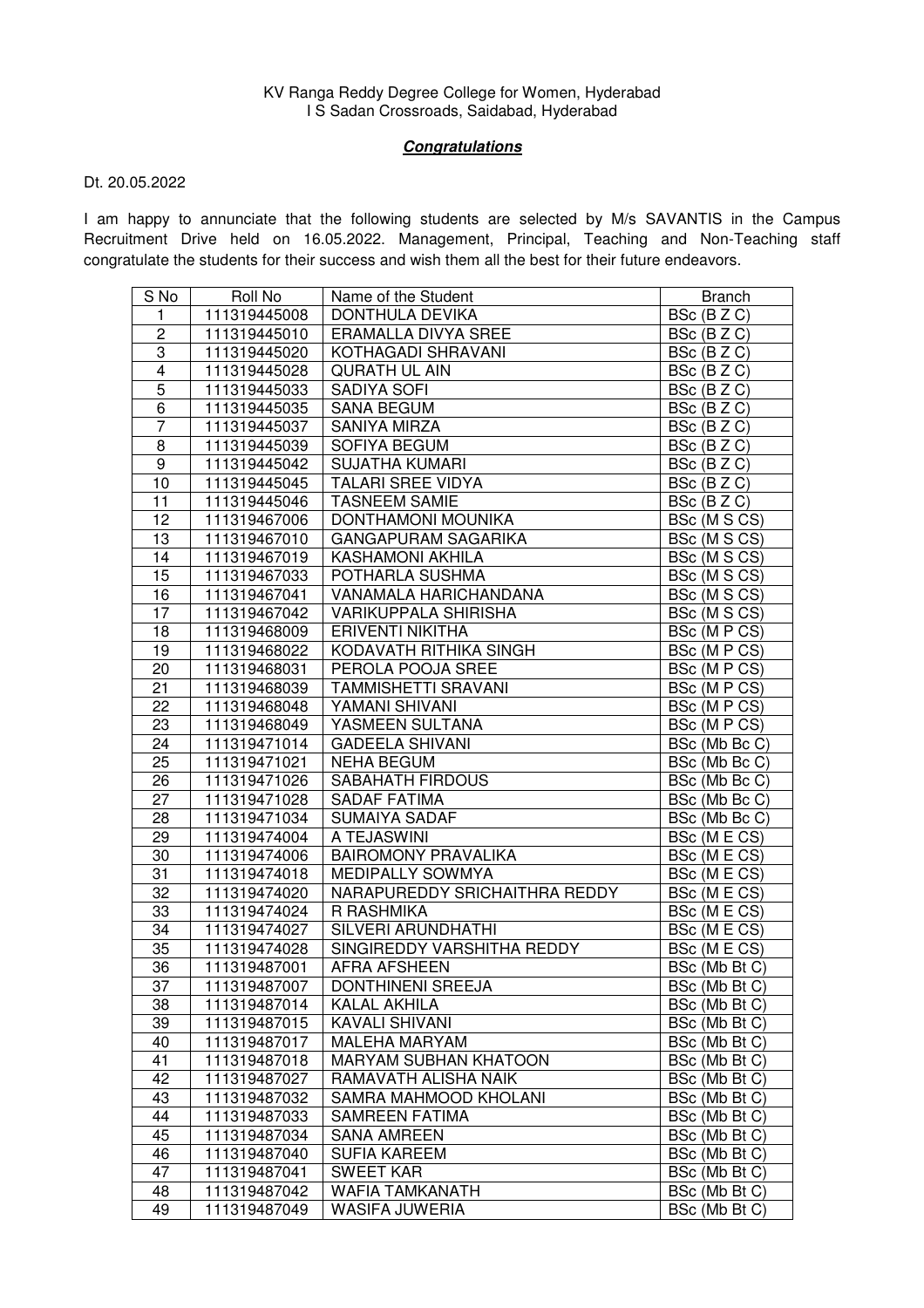## **Congratulations**

## Dt. 20.05.2022

I am happy to annunciate that the following students are selected by M/s SAVANTIS in the Campus Recruitment Drive held on 16.05.2022. Management, Principal, Teaching and Non-Teaching staff congratulate the students for their success and wish them all the best for their future endeavors.

| S No                    | Roll No      | Name of the Student           | <b>Branch</b> |
|-------------------------|--------------|-------------------------------|---------------|
| 1                       | 111319445008 | <b>DONTHULA DEVIKA</b>        | BSc (BZC)     |
| $\mathbf 2$             | 111319445010 | <b>ERAMALLA DIVYA SREE</b>    | BSc (BZC)     |
| $\overline{3}$          | 111319445020 | KOTHAGADI SHRAVANI            | BSc (BZC)     |
| $\overline{\mathbf{4}}$ | 111319445028 | <b>QURATH UL AIN</b>          | BSc (BZC)     |
| $\overline{5}$          | 111319445033 | SADIYA SOFI                   | BSc (BZC)     |
| 6                       | 111319445035 | <b>SANA BEGUM</b>             | BSc (BZC)     |
| $\overline{7}$          | 111319445037 | SANIYA MIRZA                  | BSc (BZC)     |
| 8                       | 111319445039 | SOFIYA BEGUM                  | BSc (BZC)     |
| 9                       | 111319445042 | <b>SUJATHA KUMARI</b>         | BSc (BZC)     |
| 10                      | 111319445045 | <b>TALARI SREE VIDYA</b>      | BSc (BZC)     |
| 11                      | 111319445046 | <b>TASNEEM SAMIE</b>          | BSc (BZC)     |
| 12                      | 111319467006 | DONTHAMONI MOUNIKA            | BSc (M S CS)  |
| 13                      | 111319467010 | <b>GANGAPURAM SAGARIKA</b>    | BSc (M S CS)  |
| 14                      | 111319467019 | <b>KASHAMONI AKHILA</b>       | BSc (M S CS)  |
| 15                      | 111319467033 | POTHARLA SUSHMA               | BSc (M S CS)  |
| 16                      | 111319467041 | VANAMALA HARICHANDANA         | BSc (M S CS)  |
| 17                      | 111319467042 | <b>VARIKUPPALA SHIRISHA</b>   | BSc (M S CS)  |
| 18                      | 111319468009 | <b>ERIVENTI NIKITHA</b>       | BSc (M P CS)  |
| 19                      | 111319468022 | KODAVATH RITHIKA SINGH        | BSc (M P CS)  |
| 20                      | 111319468031 | PEROLA POOJA SREE             | BSc (M P CS)  |
| 21                      | 111319468039 | <b>TAMMISHETTI SRAVANI</b>    | BSc (M P CS)  |
| 22                      | 111319468048 | YAMANI SHIVANI                | BSc (M P CS)  |
| 23                      | 111319468049 | YASMEEN SULTANA               | BSc (M P CS)  |
| 24                      | 111319471014 | <b>GADEELA SHIVANI</b>        | BSc (Mb Bc C) |
| 25                      | 111319471021 | <b>NEHA BEGUM</b>             | BSc (Mb Bc C) |
| 26                      | 111319471026 | SABAHATH FIRDOUS              | BSc (Mb Bc C) |
| 27                      | 111319471028 | <b>SADAF FATIMA</b>           | BSc (Mb Bc C) |
| 28                      | 111319471034 | SUMAIYA SADAF                 | BSc (Mb Bc C) |
| 29                      | 111319474004 | A TEJASWINI                   | BSc (M E CS)  |
| 30                      | 111319474006 | <b>BAIROMONY PRAVALIKA</b>    | BSc (MECS)    |
| 31                      | 111319474018 | MEDIPALLY SOWMYA              | BSc (MECS)    |
| 32                      | 111319474020 | NARAPUREDDY SRICHAITHRA REDDY | BSc (M E CS)  |
| 33                      | 111319474024 | R RASHMIKA                    | BSc (M E CS)  |
| 34                      | 111319474027 | SILVERI ARUNDHATHI            | BSc (M E CS)  |
| 35                      | 111319474028 | SINGIREDDY VARSHITHA REDDY    | BSc (M E CS)  |
| 36                      | 111319487001 | <b>AFRA AFSHEEN</b>           | BSc (Mb Bt C) |
| 37                      | 111319487007 | DONTHINENI SREEJA             | BSc (Mb Bt C) |
| 38                      | 111319487014 | KALAL AKHILA                  | BSc (Mb Bt C) |
| 39                      | 111319487015 | <b>KAVALI SHIVANI</b>         | BSc (Mb Bt C) |
| 40                      | 111319487017 | MALEHA MARYAM                 | BSc (Mb Bt C) |
| 41                      | 111319487018 | <b>MARYAM SUBHAN KHATOON</b>  | BSc (Mb Bt C) |
| 42                      | 111319487027 | RAMAVATH ALISHA NAIK          | BSc (Mb Bt C) |
| 43                      | 111319487032 | SAMRA MAHMOOD KHOLANI         | BSc (Mb Bt C) |
| 44                      | 111319487033 | SAMREEN FATIMA                | BSc (Mb Bt C) |
| 45                      | 111319487034 | <b>SANA AMREEN</b>            | BSc (Mb Bt C) |
| 46                      | 111319487040 | <b>SUFIA KAREEM</b>           | BSc (Mb Bt C) |
| 47                      | 111319487041 | <b>SWEET KAR</b>              | BSc (Mb Bt C) |
| 48                      | 111319487042 | <b>WAFIA TAMKANATH</b>        | BSc (Mb Bt C) |
| 49                      | 111319487049 | <b>WASIFA JUWERIA</b>         | BSc (Mb Bt C) |